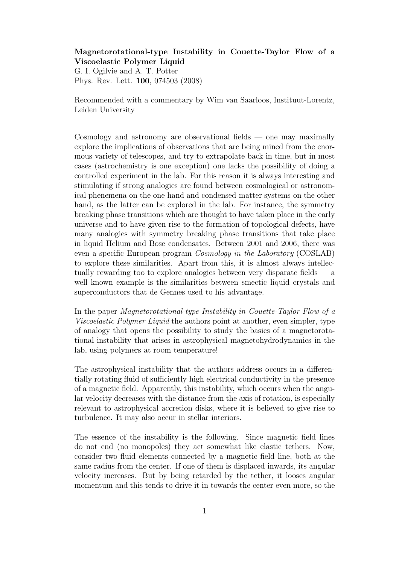## Magnetorotational-type Instability in Couette-Taylor Flow of a Viscoelastic Polymer Liquid

G. I. Ogilvie and A. T. Potter Phys. Rev. Lett. 100, 074503 (2008)

Recommended with a commentary by Wim van Saarloos, Instituut-Lorentz, Leiden University

Cosmology and astronomy are observational fields — one may maximally explore the implications of observations that are being mined from the enormous variety of telescopes, and try to extrapolate back in time, but in most cases (astrochemistry is one exception) one lacks the possibility of doing a controlled experiment in the lab. For this reason it is always interesting and stimulating if strong analogies are found between cosmological or astronomical phenemena on the one hand and condensed matter systems on the other hand, as the latter can be explored in the lab. For instance, the symmetry breaking phase transitions which are thought to have taken place in the early universe and to have given rise to the formation of topological defects, have many analogies with symmetry breaking phase transitions that take place in liquid Helium and Bose condensates. Between 2001 and 2006, there was even a specific European program Cosmology in the Laboratory (COSLAB) to explore these similarities. Apart from this, it is almost always intellectually rewarding too to explore analogies between very disparate fields — a well known example is the similarities between smectic liquid crystals and superconductors that de Gennes used to his advantage.

In the paper Magnetorotational-type Instability in Couette-Taylor Flow of a Viscoelastic Polymer Liquid the authors point at another, even simpler, type of analogy that opens the possibility to study the basics of a magnetorotational instability that arises in astrophysical magnetohydrodynamics in the lab, using polymers at room temperature!

The astrophysical instability that the authors address occurs in a differentially rotating fluid of sufficiently high electrical conductivity in the presence of a magnetic field. Apparently, this instability, which occurs when the angular velocity decreases with the distance from the axis of rotation, is especially relevant to astrophysical accretion disks, where it is believed to give rise to turbulence. It may also occur in stellar interiors.

The essence of the instability is the following. Since magnetic field lines do not end (no monopoles) they act somewhat like elastic tethers. Now, consider two fluid elements connected by a magnetic field line, both at the same radius from the center. If one of them is displaced inwards, its angular velocity increases. But by being retarded by the tether, it looses angular momentum and this tends to drive it in towards the center even more, so the